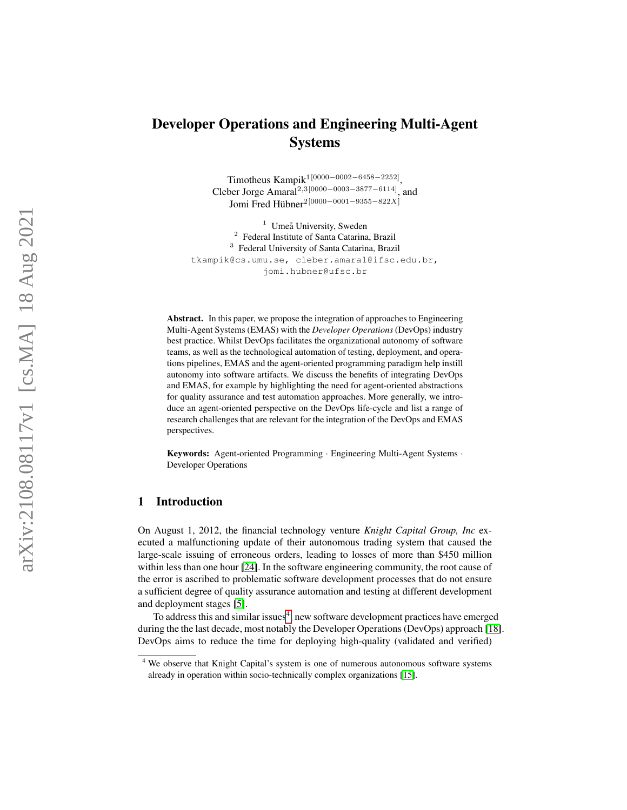# Developer Operations and Engineering Multi-Agent Systems

Timotheus Kampik<sup>1[0000–0002–6458–2252]</sup>, Cleber Jorge Amaral<sup>2,3[0000–0003–3877–6114]</sup>, and Jomi Fred Hübner $^{2[0000-0001-9355-822X]}$ 

 $<sup>1</sup>$  Umeå University, Sweden</sup> 2 Federal Institute of Santa Catarina, Brazil 3 Federal University of Santa Catarina, Brazil tkampik@cs.umu.se, cleber.amaral@ifsc.edu.br, jomi.hubner@ufsc.br

Abstract. In this paper, we propose the integration of approaches to Engineering Multi-Agent Systems (EMAS) with the *Developer Operations* (DevOps) industry best practice. Whilst DevOps facilitates the organizational autonomy of software teams, as well as the technological automation of testing, deployment, and operations pipelines, EMAS and the agent-oriented programming paradigm help instill autonomy into software artifacts. We discuss the benefits of integrating DevOps and EMAS, for example by highlighting the need for agent-oriented abstractions for quality assurance and test automation approaches. More generally, we introduce an agent-oriented perspective on the DevOps life-cycle and list a range of research challenges that are relevant for the integration of the DevOps and EMAS perspectives.

Keywords: Agent-oriented Programming · Engineering Multi-Agent Systems · Developer Operations

### 1 Introduction

On August 1, 2012, the financial technology venture *Knight Capital Group, Inc* executed a malfunctioning update of their autonomous trading system that caused the large-scale issuing of erroneous orders, leading to losses of more than \$450 million within less than one hour [\[24\]](#page-10-0). In the software engineering community, the root cause of the error is ascribed to problematic software development processes that do not ensure a sufficient degree of quality assurance automation and testing at different development and deployment stages [\[5\]](#page-9-0).

To address this and similar issues [4](#page-0-0) , new software development practices have emerged during the the last decade, most notably the Developer Operations (DevOps) approach [\[18\]](#page-10-1). DevOps aims to reduce the time for deploying high-quality (validated and verified)

<span id="page-0-0"></span><sup>4</sup> We observe that Knight Capital's system is one of numerous autonomous software systems already in operation within socio-technically complex organizations [\[15\]](#page-10-2).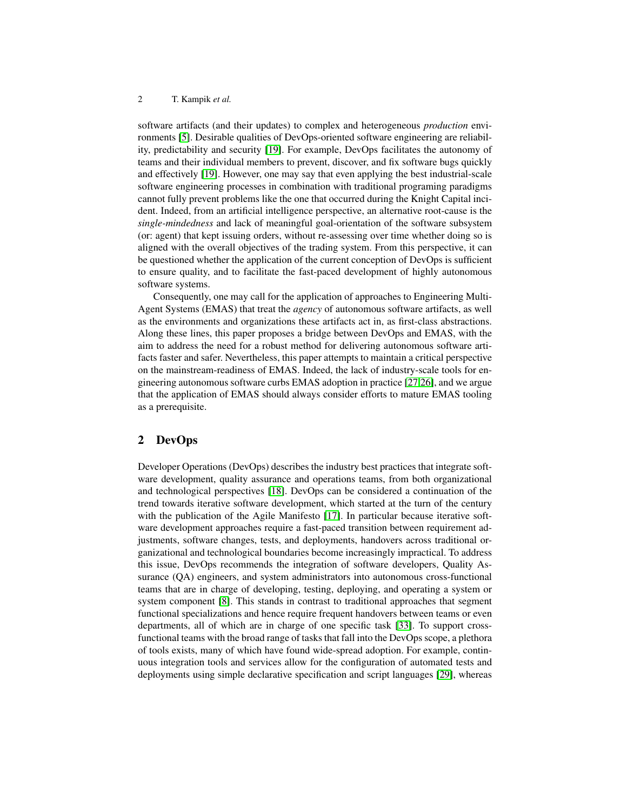software artifacts (and their updates) to complex and heterogeneous *production* environments [\[5\]](#page-9-0). Desirable qualities of DevOps-oriented software engineering are reliability, predictability and security [\[19\]](#page-10-3). For example, DevOps facilitates the autonomy of teams and their individual members to prevent, discover, and fix software bugs quickly and effectively [\[19\]](#page-10-3). However, one may say that even applying the best industrial-scale software engineering processes in combination with traditional programing paradigms cannot fully prevent problems like the one that occurred during the Knight Capital incident. Indeed, from an artificial intelligence perspective, an alternative root-cause is the *single-mindedness* and lack of meaningful goal-orientation of the software subsystem (or: agent) that kept issuing orders, without re-assessing over time whether doing so is aligned with the overall objectives of the trading system. From this perspective, it can be questioned whether the application of the current conception of DevOps is sufficient to ensure quality, and to facilitate the fast-paced development of highly autonomous software systems.

Consequently, one may call for the application of approaches to Engineering Multi-Agent Systems (EMAS) that treat the *agency* of autonomous software artifacts, as well as the environments and organizations these artifacts act in, as first-class abstractions. Along these lines, this paper proposes a bridge between DevOps and EMAS, with the aim to address the need for a robust method for delivering autonomous software artifacts faster and safer. Nevertheless, this paper attempts to maintain a critical perspective on the mainstream-readiness of EMAS. Indeed, the lack of industry-scale tools for engineering autonomous software curbs EMAS adoption in practice [\[27](#page-10-4)[,26\]](#page-10-5), and we argue that the application of EMAS should always consider efforts to mature EMAS tooling as a prerequisite.

### <span id="page-1-0"></span>2 DevOps

Developer Operations (DevOps) describes the industry best practices that integrate software development, quality assurance and operations teams, from both organizational and technological perspectives [\[18\]](#page-10-1). DevOps can be considered a continuation of the trend towards iterative software development, which started at the turn of the century with the publication of the Agile Manifesto [\[17\]](#page-10-6). In particular because iterative software development approaches require a fast-paced transition between requirement adjustments, software changes, tests, and deployments, handovers across traditional organizational and technological boundaries become increasingly impractical. To address this issue, DevOps recommends the integration of software developers, Quality Assurance (QA) engineers, and system administrators into autonomous cross-functional teams that are in charge of developing, testing, deploying, and operating a system or system component [\[8\]](#page-9-1). This stands in contrast to traditional approaches that segment functional specializations and hence require frequent handovers between teams or even departments, all of which are in charge of one specific task [\[33\]](#page-11-0). To support crossfunctional teams with the broad range of tasks that fall into the DevOps scope, a plethora of tools exists, many of which have found wide-spread adoption. For example, continuous integration tools and services allow for the configuration of automated tests and deployments using simple declarative specification and script languages [\[29\]](#page-11-1), whereas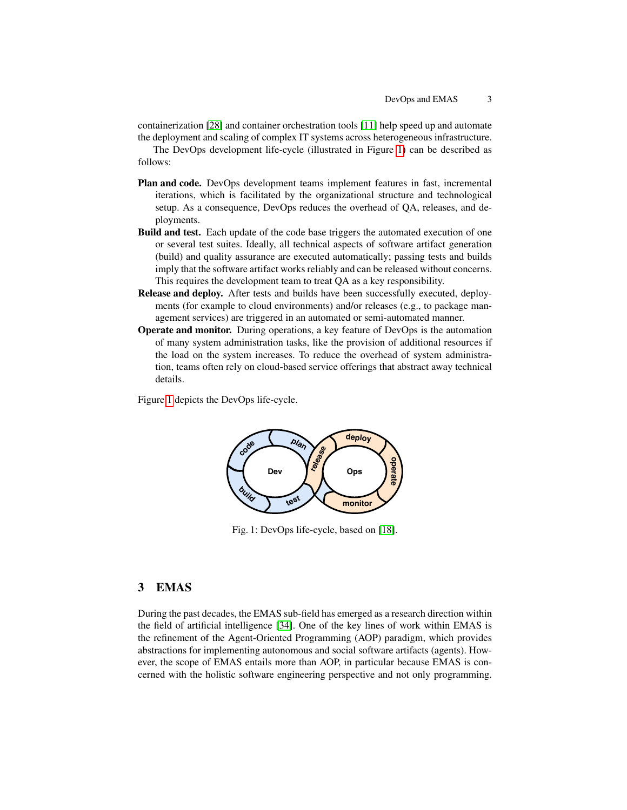containerization [\[28\]](#page-11-2) and container orchestration tools [\[11\]](#page-9-2) help speed up and automate the deployment and scaling of complex IT systems across heterogeneous infrastructure.

The DevOps development life-cycle (illustrated in Figure [1\)](#page-2-0) can be described as follows:

- Plan and code. DevOps development teams implement features in fast, incremental iterations, which is facilitated by the organizational structure and technological setup. As a consequence, DevOps reduces the overhead of QA, releases, and deployments.
- Build and test. Each update of the code base triggers the automated execution of one or several test suites. Ideally, all technical aspects of software artifact generation (build) and quality assurance are executed automatically; passing tests and builds imply that the software artifact works reliably and can be released without concerns. This requires the development team to treat QA as a key responsibility.
- Release and deploy. After tests and builds have been successfully executed, deployments (for example to cloud environments) and/or releases (e.g., to package management services) are triggered in an automated or semi-automated manner.
- Operate and monitor. During operations, a key feature of DevOps is the automation of many system administration tasks, like the provision of additional resources if the load on the system increases. To reduce the overhead of system administration, teams often rely on cloud-based service offerings that abstract away technical details.

<span id="page-2-0"></span>Figure [1](#page-2-0) depicts the DevOps life-cycle.



Fig. 1: DevOps life-cycle, based on [\[18\]](#page-10-1).

# 3 EMAS

During the past decades, the EMAS sub-field has emerged as a research direction within the field of artificial intelligence [\[34\]](#page-11-3). One of the key lines of work within EMAS is the refinement of the Agent-Oriented Programming (AOP) paradigm, which provides abstractions for implementing autonomous and social software artifacts (agents). However, the scope of EMAS entails more than AOP, in particular because EMAS is concerned with the holistic software engineering perspective and not only programming.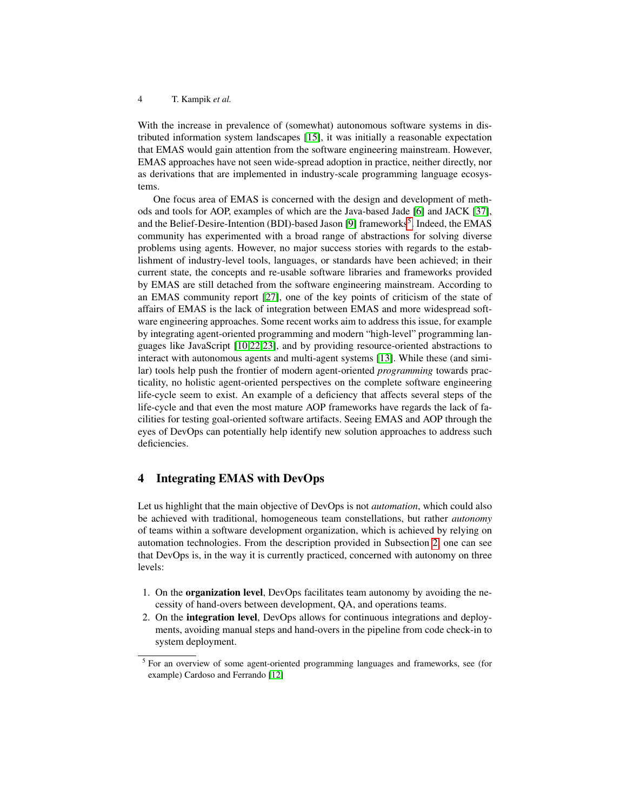With the increase in prevalence of (somewhat) autonomous software systems in distributed information system landscapes [\[15\]](#page-10-2), it was initially a reasonable expectation that EMAS would gain attention from the software engineering mainstream. However, EMAS approaches have not seen wide-spread adoption in practice, neither directly, nor as derivations that are implemented in industry-scale programming language ecosystems.

One focus area of EMAS is concerned with the design and development of methods and tools for AOP, examples of which are the Java-based Jade [\[6\]](#page-9-3) and JACK [\[37\]](#page-11-4), and the Belief-Desire-Intention (BDI)-based Jason [\[9\]](#page-9-4) frameworks<sup>[5](#page-3-0)</sup>. Indeed, the EMAS community has experimented with a broad range of abstractions for solving diverse problems using agents. However, no major success stories with regards to the establishment of industry-level tools, languages, or standards have been achieved; in their current state, the concepts and re-usable software libraries and frameworks provided by EMAS are still detached from the software engineering mainstream. According to an EMAS community report [\[27\]](#page-10-4), one of the key points of criticism of the state of affairs of EMAS is the lack of integration between EMAS and more widespread software engineering approaches. Some recent works aim to address this issue, for example by integrating agent-oriented programming and modern "high-level" programming languages like JavaScript [\[10,](#page-9-5)[22,](#page-10-7)[23\]](#page-10-8), and by providing resource-oriented abstractions to interact with autonomous agents and multi-agent systems [\[13\]](#page-10-9). While these (and similar) tools help push the frontier of modern agent-oriented *programming* towards practicality, no holistic agent-oriented perspectives on the complete software engineering life-cycle seem to exist. An example of a deficiency that affects several steps of the life-cycle and that even the most mature AOP frameworks have regards the lack of facilities for testing goal-oriented software artifacts. Seeing EMAS and AOP through the eyes of DevOps can potentially help identify new solution approaches to address such deficiencies.

### 4 Integrating EMAS with DevOps

Let us highlight that the main objective of DevOps is not *automation*, which could also be achieved with traditional, homogeneous team constellations, but rather *autonomy* of teams within a software development organization, which is achieved by relying on automation technologies. From the description provided in Subsection [2,](#page-1-0) one can see that DevOps is, in the way it is currently practiced, concerned with autonomy on three levels:

- 1. On the organization level, DevOps facilitates team autonomy by avoiding the necessity of hand-overs between development, QA, and operations teams.
- 2. On the integration level, DevOps allows for continuous integrations and deployments, avoiding manual steps and hand-overs in the pipeline from code check-in to system deployment.

<span id="page-3-0"></span><sup>&</sup>lt;sup>5</sup> For an overview of some agent-oriented programming languages and frameworks, see (for example) Cardoso and Ferrando [\[12\]](#page-9-6)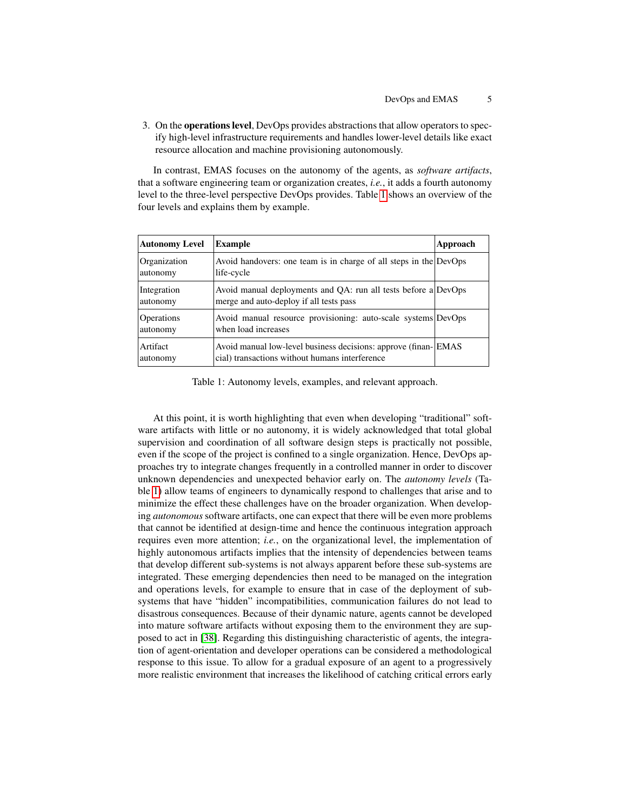3. On the operations level, DevOps provides abstractions that allow operators to specify high-level infrastructure requirements and handles lower-level details like exact resource allocation and machine provisioning autonomously.

In contrast, EMAS focuses on the autonomy of the agents, as *software artifacts*, that a software engineering team or organization creates, *i.e.*, it adds a fourth autonomy level to the three-level perspective DevOps provides. Table [1](#page-4-0) shows an overview of the four levels and explains them by example.

<span id="page-4-0"></span>

| <b>Autonomy Level</b>         | <b>Example</b>                                                                                                     | Approach |
|-------------------------------|--------------------------------------------------------------------------------------------------------------------|----------|
| Organization<br>autonomy      | Avoid handovers: one team is in charge of all steps in the DevOps<br>life-cycle                                    |          |
| Integration<br>autonomy       | Avoid manual deployments and QA: run all tests before a DevOps<br>merge and auto-deploy if all tests pass          |          |
| <b>Operations</b><br>autonomy | Avoid manual resource provisioning: auto-scale systems DevOps<br>when load increases                               |          |
| Artifact<br>autonomy          | Avoid manual low-level business decisions: approve (finan- EMAS)<br>cial) transactions without humans interference |          |

Table 1: Autonomy levels, examples, and relevant approach.

At this point, it is worth highlighting that even when developing "traditional" software artifacts with little or no autonomy, it is widely acknowledged that total global supervision and coordination of all software design steps is practically not possible, even if the scope of the project is confined to a single organization. Hence, DevOps approaches try to integrate changes frequently in a controlled manner in order to discover unknown dependencies and unexpected behavior early on. The *autonomy levels* (Table [1\)](#page-4-0) allow teams of engineers to dynamically respond to challenges that arise and to minimize the effect these challenges have on the broader organization. When developing *autonomous* software artifacts, one can expect that there will be even more problems that cannot be identified at design-time and hence the continuous integration approach requires even more attention; *i.e.*, on the organizational level, the implementation of highly autonomous artifacts implies that the intensity of dependencies between teams that develop different sub-systems is not always apparent before these sub-systems are integrated. These emerging dependencies then need to be managed on the integration and operations levels, for example to ensure that in case of the deployment of subsystems that have "hidden" incompatibilities, communication failures do not lead to disastrous consequences. Because of their dynamic nature, agents cannot be developed into mature software artifacts without exposing them to the environment they are supposed to act in [\[38\]](#page-11-5). Regarding this distinguishing characteristic of agents, the integration of agent-orientation and developer operations can be considered a methodological response to this issue. To allow for a gradual exposure of an agent to a progressively more realistic environment that increases the likelihood of catching critical errors early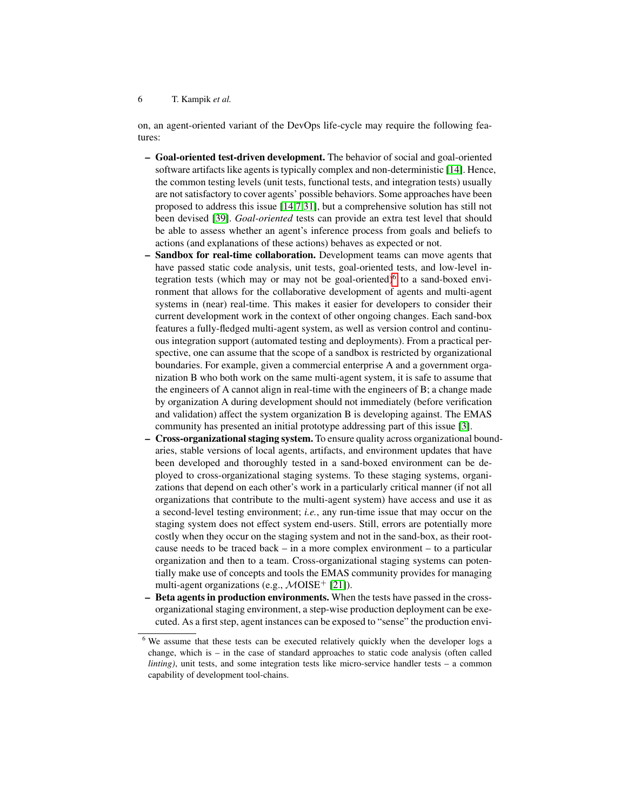on, an agent-oriented variant of the DevOps life-cycle may require the following features:

- Goal-oriented test-driven development. The behavior of social and goal-oriented software artifacts like agents is typically complex and non-deterministic [\[14\]](#page-10-10). Hence, the common testing levels (unit tests, functional tests, and integration tests) usually are not satisfactory to cover agents' possible behaviors. Some approaches have been proposed to address this issue [\[14,](#page-10-10)[7,](#page-9-7)[31\]](#page-11-6), but a comprehensive solution has still not been devised [\[39\]](#page-11-7). *Goal-oriented* tests can provide an extra test level that should be able to assess whether an agent's inference process from goals and beliefs to actions (and explanations of these actions) behaves as expected or not.
- Sandbox for real-time collaboration. Development teams can move agents that have passed static code analysis, unit tests, goal-oriented tests, and low-level integration tests (which may or may not be goal-oriented) $6$  to a sand-boxed environment that allows for the collaborative development of agents and multi-agent systems in (near) real-time. This makes it easier for developers to consider their current development work in the context of other ongoing changes. Each sand-box features a fully-fledged multi-agent system, as well as version control and continuous integration support (automated testing and deployments). From a practical perspective, one can assume that the scope of a sandbox is restricted by organizational boundaries. For example, given a commercial enterprise A and a government organization B who both work on the same multi-agent system, it is safe to assume that the engineers of A cannot align in real-time with the engineers of B; a change made by organization A during development should not immediately (before verification and validation) affect the system organization B is developing against. The EMAS community has presented an initial prototype addressing part of this issue [\[3\]](#page-9-8).
- Cross-organizational staging system. To ensure quality across organizational boundaries, stable versions of local agents, artifacts, and environment updates that have been developed and thoroughly tested in a sand-boxed environment can be deployed to cross-organizational staging systems. To these staging systems, organizations that depend on each other's work in a particularly critical manner (if not all organizations that contribute to the multi-agent system) have access and use it as a second-level testing environment; *i.e.*, any run-time issue that may occur on the staging system does not effect system end-users. Still, errors are potentially more costly when they occur on the staging system and not in the sand-box, as their rootcause needs to be traced back – in a more complex environment – to a particular organization and then to a team. Cross-organizational staging systems can potentially make use of concepts and tools the EMAS community provides for managing multi-agent organizations (e.g.,  $\mathcal{M}OISE^+$  [\[21\]](#page-10-11)).
- Beta agents in production environments. When the tests have passed in the crossorganizational staging environment, a step-wise production deployment can be executed. As a first step, agent instances can be exposed to "sense" the production envi-

<span id="page-5-0"></span><sup>6</sup> We assume that these tests can be executed relatively quickly when the developer logs a change, which is – in the case of standard approaches to static code analysis (often called *linting*), unit tests, and some integration tests like micro-service handler tests – a common capability of development tool-chains.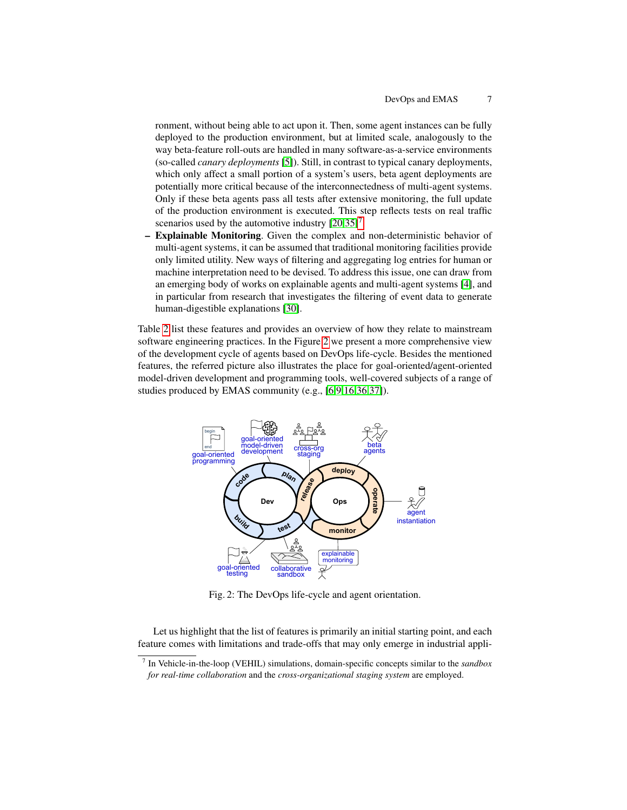ronment, without being able to act upon it. Then, some agent instances can be fully deployed to the production environment, but at limited scale, analogously to the way beta-feature roll-outs are handled in many software-as-a-service environments (so-called *canary deployments* [\[5\]](#page-9-0)). Still, in contrast to typical canary deployments, which only affect a small portion of a system's users, beta agent deployments are potentially more critical because of the interconnectedness of multi-agent systems. Only if these beta agents pass all tests after extensive monitoring, the full update of the production environment is executed. This step reflects tests on real traffic scenarios used by the automotive industry  $[20,35]^7$  $[20,35]^7$  $[20,35]^7$  $[20,35]^7$ .

– Explainable Monitoring. Given the complex and non-deterministic behavior of multi-agent systems, it can be assumed that traditional monitoring facilities provide only limited utility. New ways of filtering and aggregating log entries for human or machine interpretation need to be devised. To address this issue, one can draw from an emerging body of works on explainable agents and multi-agent systems [\[4\]](#page-9-9), and in particular from research that investigates the filtering of event data to generate human-digestible explanations [\[30\]](#page-11-9).

Table [2](#page-7-0) list these features and provides an overview of how they relate to mainstream software engineering practices. In the Figure [2](#page-6-1) we present a more comprehensive view of the development cycle of agents based on DevOps life-cycle. Besides the mentioned features, the referred picture also illustrates the place for goal-oriented/agent-oriented model-driven development and programming tools, well-covered subjects of a range of studies produced by EMAS community (e.g., [\[6](#page-9-3)[,9](#page-9-4)[,16](#page-10-13)[,36](#page-11-10)[,37\]](#page-11-4)).

<span id="page-6-1"></span>

Fig. 2: The DevOps life-cycle and agent orientation.

Let us highlight that the list of features is primarily an initial starting point, and each feature comes with limitations and trade-offs that may only emerge in industrial appli-

<span id="page-6-0"></span><sup>7</sup> In Vehicle-in-the-loop (VEHIL) simulations, domain-specific concepts similar to the *sandbox for real-time collaboration* and the *cross-organizational staging system* are employed.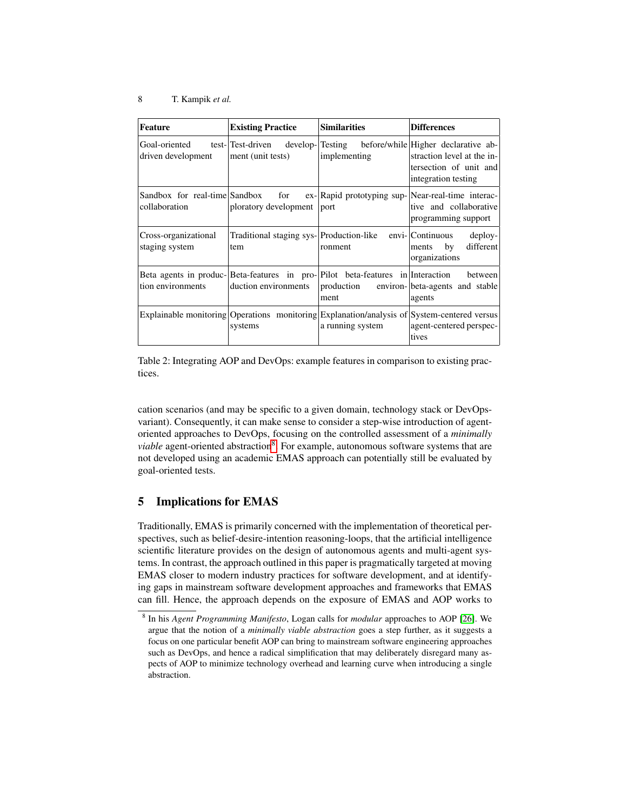<span id="page-7-0"></span>

| Feature                                        | <b>Existing Practice</b>                                                                              | <b>Similarities</b> | <b>Differences</b>                                                                                                                                  |
|------------------------------------------------|-------------------------------------------------------------------------------------------------------|---------------------|-----------------------------------------------------------------------------------------------------------------------------------------------------|
| Goal-oriented<br>driven development            | ment (unit tests)                                                                                     | implementing        | test-Test-driven develop-Testing before/while Higher declarative ab-<br>straction level at the in-<br>tersection of unit and<br>integration testing |
| Sandbox for real-time Sandbox<br>collaboration | ploratory development                                                                                 | port                | for ex- Rapid prototyping sup- Near-real-time interac-<br>tive and collaborative<br>programming support                                             |
| Cross-organizational<br>staging system         | Traditional staging sys- Production-like<br>tem                                                       | ronment             | $envi$ - $\vert$ Continuous<br>deploy-<br>different<br>by<br>ments<br>organizations                                                                 |
| tion environments                              | Beta agents in produc-Beta-features in pro-Pilot beta-features in Interaction<br>duction environments | production<br>ment  | between<br>environ-beta-agents and stable<br>agents                                                                                                 |
|                                                | systems                                                                                               | a running system    | Explainable monitoring Operations monitoring Explanation/analysis of System-centered versus<br>agent-centered perspec-<br>tives                     |

Table 2: Integrating AOP and DevOps: example features in comparison to existing practices.

cation scenarios (and may be specific to a given domain, technology stack or DevOpsvariant). Consequently, it can make sense to consider a step-wise introduction of agentoriented approaches to DevOps, focusing on the controlled assessment of a *minimally viable* agent-oriented abstraction<sup>[8](#page-7-1)</sup>. For example, autonomous software systems that are not developed using an academic EMAS approach can potentially still be evaluated by goal-oriented tests.

## 5 Implications for EMAS

Traditionally, EMAS is primarily concerned with the implementation of theoretical perspectives, such as belief-desire-intention reasoning-loops, that the artificial intelligence scientific literature provides on the design of autonomous agents and multi-agent systems. In contrast, the approach outlined in this paper is pragmatically targeted at moving EMAS closer to modern industry practices for software development, and at identifying gaps in mainstream software development approaches and frameworks that EMAS can fill. Hence, the approach depends on the exposure of EMAS and AOP works to

<span id="page-7-1"></span><sup>8</sup> In his *Agent Programming Manifesto*, Logan calls for *modular* approaches to AOP [\[26\]](#page-10-5). We argue that the notion of a *minimally viable abstraction* goes a step further, as it suggests a focus on one particular benefit AOP can bring to mainstream software engineering approaches such as DevOps, and hence a radical simplification that may deliberately disregard many aspects of AOP to minimize technology overhead and learning curve when introducing a single abstraction.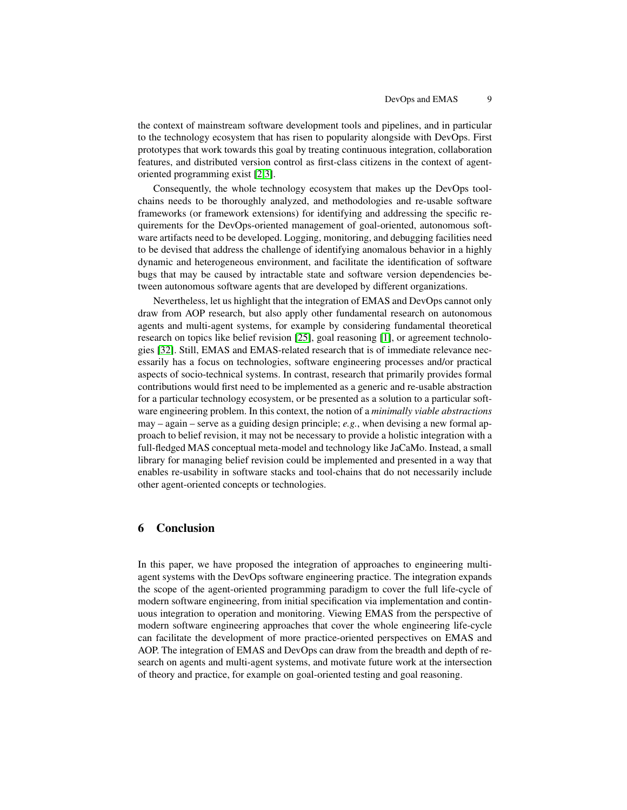the context of mainstream software development tools and pipelines, and in particular to the technology ecosystem that has risen to popularity alongside with DevOps. First prototypes that work towards this goal by treating continuous integration, collaboration features, and distributed version control as first-class citizens in the context of agentoriented programming exist [\[2,](#page-9-10)[3\]](#page-9-8).

Consequently, the whole technology ecosystem that makes up the DevOps toolchains needs to be thoroughly analyzed, and methodologies and re-usable software frameworks (or framework extensions) for identifying and addressing the specific requirements for the DevOps-oriented management of goal-oriented, autonomous software artifacts need to be developed. Logging, monitoring, and debugging facilities need to be devised that address the challenge of identifying anomalous behavior in a highly dynamic and heterogeneous environment, and facilitate the identification of software bugs that may be caused by intractable state and software version dependencies between autonomous software agents that are developed by different organizations.

Nevertheless, let us highlight that the integration of EMAS and DevOps cannot only draw from AOP research, but also apply other fundamental research on autonomous agents and multi-agent systems, for example by considering fundamental theoretical research on topics like belief revision [\[25\]](#page-10-14), goal reasoning [\[1\]](#page-9-11), or agreement technologies [\[32\]](#page-11-11). Still, EMAS and EMAS-related research that is of immediate relevance necessarily has a focus on technologies, software engineering processes and/or practical aspects of socio-technical systems. In contrast, research that primarily provides formal contributions would first need to be implemented as a generic and re-usable abstraction for a particular technology ecosystem, or be presented as a solution to a particular software engineering problem. In this context, the notion of a *minimally viable abstractions* may – again – serve as a guiding design principle; *e.g.*, when devising a new formal approach to belief revision, it may not be necessary to provide a holistic integration with a full-fledged MAS conceptual meta-model and technology like JaCaMo. Instead, a small library for managing belief revision could be implemented and presented in a way that enables re-usability in software stacks and tool-chains that do not necessarily include other agent-oriented concepts or technologies.

### 6 Conclusion

In this paper, we have proposed the integration of approaches to engineering multiagent systems with the DevOps software engineering practice. The integration expands the scope of the agent-oriented programming paradigm to cover the full life-cycle of modern software engineering, from initial specification via implementation and continuous integration to operation and monitoring. Viewing EMAS from the perspective of modern software engineering approaches that cover the whole engineering life-cycle can facilitate the development of more practice-oriented perspectives on EMAS and AOP. The integration of EMAS and DevOps can draw from the breadth and depth of research on agents and multi-agent systems, and motivate future work at the intersection of theory and practice, for example on goal-oriented testing and goal reasoning.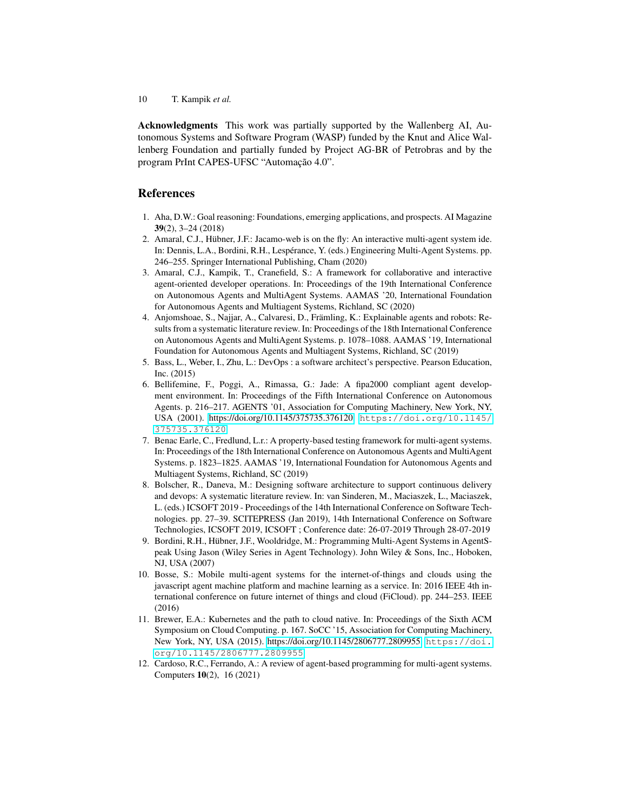Acknowledgments This work was partially supported by the Wallenberg AI, Autonomous Systems and Software Program (WASP) funded by the Knut and Alice Wallenberg Foundation and partially funded by Project AG-BR of Petrobras and by the program PrInt CAPES-UFSC "Automação 4.0".

### **References**

- <span id="page-9-11"></span>1. Aha, D.W.: Goal reasoning: Foundations, emerging applications, and prospects. AI Magazine 39(2), 3–24 (2018)
- <span id="page-9-10"></span>2. Amaral, C.J., Hubner, J.F.: Jacamo-web is on the fly: An interactive multi-agent system ide. ¨ In: Dennis, L.A., Bordini, R.H., Lesperance, Y. (eds.) Engineering Multi-Agent Systems. pp. ´ 246–255. Springer International Publishing, Cham (2020)
- <span id="page-9-8"></span>3. Amaral, C.J., Kampik, T., Cranefield, S.: A framework for collaborative and interactive agent-oriented developer operations. In: Proceedings of the 19th International Conference on Autonomous Agents and MultiAgent Systems. AAMAS '20, International Foundation for Autonomous Agents and Multiagent Systems, Richland, SC (2020)
- <span id="page-9-9"></span>4. Anjomshoae, S., Najjar, A., Calvaresi, D., Framling, K.: Explainable agents and robots: Re- ¨ sults from a systematic literature review. In: Proceedings of the 18th International Conference on Autonomous Agents and MultiAgent Systems. p. 1078–1088. AAMAS '19, International Foundation for Autonomous Agents and Multiagent Systems, Richland, SC (2019)
- <span id="page-9-0"></span>5. Bass, L., Weber, I., Zhu, L.: DevOps : a software architect's perspective. Pearson Education, Inc. (2015)
- <span id="page-9-3"></span>6. Bellifemine, F., Poggi, A., Rimassa, G.: Jade: A fipa2000 compliant agent development environment. In: Proceedings of the Fifth International Conference on Autonomous Agents. p. 216–217. AGENTS '01, Association for Computing Machinery, New York, NY, USA (2001). [https://doi.org/10.1145/375735.376120,](https://doi.org/10.1145/375735.376120) [https://doi.org/10.1145/](https://doi.org/10.1145/375735.376120) [375735.376120](https://doi.org/10.1145/375735.376120)
- <span id="page-9-7"></span>7. Benac Earle, C., Fredlund, L.r.: A property-based testing framework for multi-agent systems. In: Proceedings of the 18th International Conference on Autonomous Agents and MultiAgent Systems. p. 1823–1825. AAMAS '19, International Foundation for Autonomous Agents and Multiagent Systems, Richland, SC (2019)
- <span id="page-9-1"></span>8. Bolscher, R., Daneva, M.: Designing software architecture to support continuous delivery and devops: A systematic literature review. In: van Sinderen, M., Maciaszek, L., Maciaszek, L. (eds.) ICSOFT 2019 - Proceedings of the 14th International Conference on Software Technologies. pp. 27–39. SCITEPRESS (Jan 2019), 14th International Conference on Software Technologies, ICSOFT 2019, ICSOFT ; Conference date: 26-07-2019 Through 28-07-2019
- <span id="page-9-4"></span>9. Bordini, R.H., Hübner, J.F., Wooldridge, M.: Programming Multi-Agent Systems in AgentSpeak Using Jason (Wiley Series in Agent Technology). John Wiley & Sons, Inc., Hoboken, NJ, USA (2007)
- <span id="page-9-5"></span>10. Bosse, S.: Mobile multi-agent systems for the internet-of-things and clouds using the javascript agent machine platform and machine learning as a service. In: 2016 IEEE 4th international conference on future internet of things and cloud (FiCloud). pp. 244–253. IEEE (2016)
- <span id="page-9-2"></span>11. Brewer, E.A.: Kubernetes and the path to cloud native. In: Proceedings of the Sixth ACM Symposium on Cloud Computing. p. 167. SoCC '15, Association for Computing Machinery, New York, NY, USA (2015). [https://doi.org/10.1145/2806777.2809955,](https://doi.org/10.1145/2806777.2809955) [https://doi.](https://doi.org/10.1145/2806777.2809955) [org/10.1145/2806777.2809955](https://doi.org/10.1145/2806777.2809955)
- <span id="page-9-6"></span>12. Cardoso, R.C., Ferrando, A.: A review of agent-based programming for multi-agent systems. Computers 10(2), 16 (2021)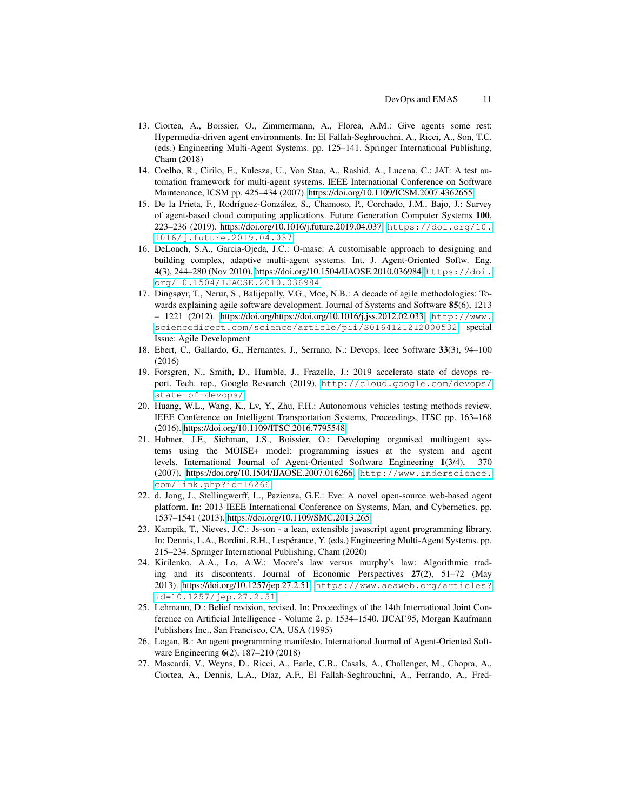- <span id="page-10-9"></span>13. Ciortea, A., Boissier, O., Zimmermann, A., Florea, A.M.: Give agents some rest: Hypermedia-driven agent environments. In: El Fallah-Seghrouchni, A., Ricci, A., Son, T.C. (eds.) Engineering Multi-Agent Systems. pp. 125–141. Springer International Publishing, Cham (2018)
- <span id="page-10-10"></span>14. Coelho, R., Cirilo, E., Kulesza, U., Von Staa, A., Rashid, A., Lucena, C.: JAT: A test automation framework for multi-agent systems. IEEE International Conference on Software Maintenance, ICSM pp. 425–434 (2007).<https://doi.org/10.1109/ICSM.2007.4362655>
- <span id="page-10-2"></span>15. De la Prieta, F., Rodríguez-González, S., Chamoso, P., Corchado, J.M., Bajo, J.: Survey of agent-based cloud computing applications. Future Generation Computer Systems 100, 223–236 (2019). [https://doi.org/10.1016/j.future.2019.04.037,](https://doi.org/10.1016/j.future.2019.04.037) [https://doi.org/10.](https://doi.org/10.1016/j.future.2019.04.037) [1016/j.future.2019.04.037](https://doi.org/10.1016/j.future.2019.04.037)
- <span id="page-10-13"></span>16. DeLoach, S.A., Garcia-Ojeda, J.C.: O-mase: A customisable approach to designing and building complex, adaptive multi-agent systems. Int. J. Agent-Oriented Softw. Eng. 4(3), 244–280 (Nov 2010). [https://doi.org/10.1504/IJAOSE.2010.036984,](https://doi.org/10.1504/IJAOSE.2010.036984) [https://doi.](https://doi.org/10.1504/IJAOSE.2010.036984) [org/10.1504/IJAOSE.2010.036984](https://doi.org/10.1504/IJAOSE.2010.036984)
- <span id="page-10-6"></span>17. Dingsøyr, T., Nerur, S., Balijepally, V.G., Moe, N.B.: A decade of agile methodologies: Towards explaining agile software development. Journal of Systems and Software 85(6), 1213 – 1221 (2012). [https://doi.org/https://doi.org/10.1016/j.jss.2012.02.033,](https://doi.org/https://doi.org/10.1016/j.jss.2012.02.033) [http://www.](http://www.sciencedirect.com/science/article/pii/S0164121212000532) [sciencedirect.com/science/article/pii/S0164121212000532](http://www.sciencedirect.com/science/article/pii/S0164121212000532), special Issue: Agile Development
- <span id="page-10-1"></span>18. Ebert, C., Gallardo, G., Hernantes, J., Serrano, N.: Devops. Ieee Software 33(3), 94–100 (2016)
- <span id="page-10-3"></span>19. Forsgren, N., Smith, D., Humble, J., Frazelle, J.: 2019 accelerate state of devops report. Tech. rep., Google Research (2019), [http://cloud.google.com/devops/](http://cloud.google.com/devops/state-of-devops/) [state-of-devops/](http://cloud.google.com/devops/state-of-devops/)
- <span id="page-10-12"></span>20. Huang, W.L., Wang, K., Lv, Y., Zhu, F.H.: Autonomous vehicles testing methods review. IEEE Conference on Intelligent Transportation Systems, Proceedings, ITSC pp. 163–168 (2016).<https://doi.org/10.1109/ITSC.2016.7795548>
- <span id="page-10-11"></span>21. Hubner, J.F., Sichman, J.S., Boissier, O.: Developing organised multiagent systems using the MOISE+ model: programming issues at the system and agent levels. International Journal of Agent-Oriented Software Engineering 1(3/4), 370 (2007). [https://doi.org/10.1504/IJAOSE.2007.016266,](https://doi.org/10.1504/IJAOSE.2007.016266) [http://www.inderscience.](http://www.inderscience.com/link.php?id=16266) [com/link.php?id=16266](http://www.inderscience.com/link.php?id=16266)
- <span id="page-10-7"></span>22. d. Jong, J., Stellingwerff, L., Pazienza, G.E.: Eve: A novel open-source web-based agent platform. In: 2013 IEEE International Conference on Systems, Man, and Cybernetics. pp. 1537–1541 (2013).<https://doi.org/10.1109/SMC.2013.265>
- <span id="page-10-8"></span>23. Kampik, T., Nieves, J.C.: Js-son - a lean, extensible javascript agent programming library. In: Dennis, L.A., Bordini, R.H., Lespérance, Y. (eds.) Engineering Multi-Agent Systems. pp. 215–234. Springer International Publishing, Cham (2020)
- <span id="page-10-0"></span>24. Kirilenko, A.A., Lo, A.W.: Moore's law versus murphy's law: Algorithmic trading and its discontents. Journal of Economic Perspectives 27(2), 51–72 (May 2013). [https://doi.org/10.1257/jep.27.2.51,](https://doi.org/10.1257/jep.27.2.51) [https://www.aeaweb.org/articles?](https://www.aeaweb.org/articles?id=10.1257/jep.27.2.51) [id=10.1257/jep.27.2.51](https://www.aeaweb.org/articles?id=10.1257/jep.27.2.51)
- <span id="page-10-14"></span>25. Lehmann, D.: Belief revision, revised. In: Proceedings of the 14th International Joint Conference on Artificial Intelligence - Volume 2. p. 1534–1540. IJCAI'95, Morgan Kaufmann Publishers Inc., San Francisco, CA, USA (1995)
- <span id="page-10-5"></span>26. Logan, B.: An agent programming manifesto. International Journal of Agent-Oriented Software Engineering 6(2), 187–210 (2018)
- <span id="page-10-4"></span>27. Mascardi, V., Weyns, D., Ricci, A., Earle, C.B., Casals, A., Challenger, M., Chopra, A., Ciortea, A., Dennis, L.A., Díaz, A.F., El Fallah-Seghrouchni, A., Ferrando, A., Fred-